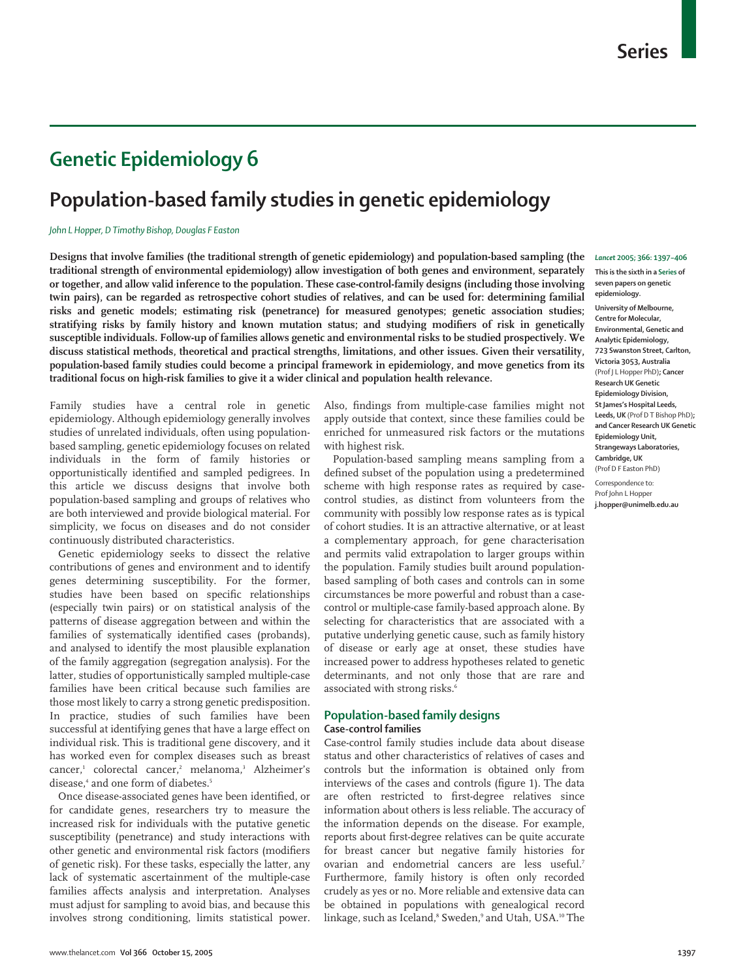# **Genetic Epidemiology 6**

# **Population-based family studies in genetic epidemiology**

#### *John L Hopper, D Timothy Bishop, Douglas F Easton*

**Designs that involve families (the traditional strength of genetic epidemiology) and population-based sampling (the traditional strength of environmental epidemiology) allow investigation of both genes and environment, separately or together, and allow valid inference to the population. These case-control-family designs (including those involving twin pairs), can be regarded as retrospective cohort studies of relatives, and can be used for: determining familial risks and genetic models; estimating risk (penetrance) for measured genotypes; genetic association studies; stratifying risks by family history and known mutation status; and studying modifiers of risk in genetically susceptible individuals. Follow-up of families allows genetic and environmental risks to be studied prospectively. We discuss statistical methods, theoretical and practical strengths, limitations, and other issues. Given their versatility, population-based family studies could become a principal framework in epidemiology, and move genetics from its traditional focus on high-risk families to give it a wider clinical and population health relevance.** 

Family studies have a central role in genetic epidemiology. Although epidemiology generally involves studies of unrelated individuals, often using populationbased sampling, genetic epidemiology focuses on related individuals in the form of family histories or opportunistically identified and sampled pedigrees. In this article we discuss designs that involve both population-based sampling and groups of relatives who are both interviewed and provide biological material. For simplicity, we focus on diseases and do not consider continuously distributed characteristics.

Genetic epidemiology seeks to dissect the relative contributions of genes and environment and to identify genes determining susceptibility. For the former, studies have been based on specific relationships (especially twin pairs) or on statistical analysis of the patterns of disease aggregation between and within the families of systematically identified cases (probands), and analysed to identify the most plausible explanation of the family aggregation (segregation analysis). For the latter, studies of opportunistically sampled multiple-case families have been critical because such families are those most likely to carry a strong genetic predisposition. In practice, studies of such families have been successful at identifying genes that have a large effect on individual risk. This is traditional gene discovery, and it has worked even for complex diseases such as breast cancer,<sup>1</sup> colorectal cancer,<sup>2</sup> melanoma,<sup>3</sup> Alzheimer's disease,<sup>4</sup> and one form of diabetes.<sup>5</sup>

Once disease-associated genes have been identified, or for candidate genes, researchers try to measure the increased risk for individuals with the putative genetic susceptibility (penetrance) and study interactions with other genetic and environmental risk factors (modifiers of genetic risk). For these tasks, especially the latter, any lack of systematic ascertainment of the multiple-case families affects analysis and interpretation. Analyses must adjust for sampling to avoid bias, and because this involves strong conditioning, limits statistical power.

Also, findings from multiple-case families might not apply outside that context, since these families could be enriched for unmeasured risk factors or the mutations with highest risk.

Population-based sampling means sampling from a defined subset of the population using a predetermined scheme with high response rates as required by casecontrol studies, as distinct from volunteers from the community with possibly low response rates as is typical of cohort studies. It is an attractive alternative, or at least a complementary approach, for gene characterisation and permits valid extrapolation to larger groups within the population. Family studies built around populationbased sampling of both cases and controls can in some circumstances be more powerful and robust than a casecontrol or multiple-case family-based approach alone. By selecting for characteristics that are associated with a putative underlying genetic cause, such as family history of disease or early age at onset, these studies have increased power to address hypotheses related to genetic determinants, and not only those that are rare and associated with strong risks.<sup>6</sup>

#### **Population-based family designs Case-control families**

Case-control family studies include data about disease status and other characteristics of relatives of cases and controls but the information is obtained only from interviews of the cases and controls (figure 1). The data are often restricted to first-degree relatives since information about others is less reliable. The accuracy of the information depends on the disease. For example, reports about first-degree relatives can be quite accurate for breast cancer but negative family histories for ovarian and endometrial cancers are less useful.7 Furthermore, family history is often only recorded crudely as yes or no. More reliable and extensive data can be obtained in populations with genealogical record linkage, such as Iceland,<sup>8</sup> Sweden,<sup>9</sup> and Utah, USA.<sup>10</sup> The

#### *Lancet* **2005; 366: 1397–406**

**This is the sixth in a Series of seven papers on genetic epidemiology. University of Melbourne, Centre for Molecular, Environmental, Genetic and Analytic Epidemiology, 723 Swanston Street, Carlton, Victoria 3053, Australia** (Prof J L Hopper PhD)**; Cancer Research UK Genetic Epidemiology Division, St James's Hospital Leeds, Leeds, UK** (Prof D T Bishop PhD)**; and Cancer Research UK Genetic Epidemiology Unit, Strangeways Laboratories, Cambridge, UK** (Prof D F Easton PhD)

Correspondence to: Prof John L Hopper **j.hopper@unimelb.edu.au**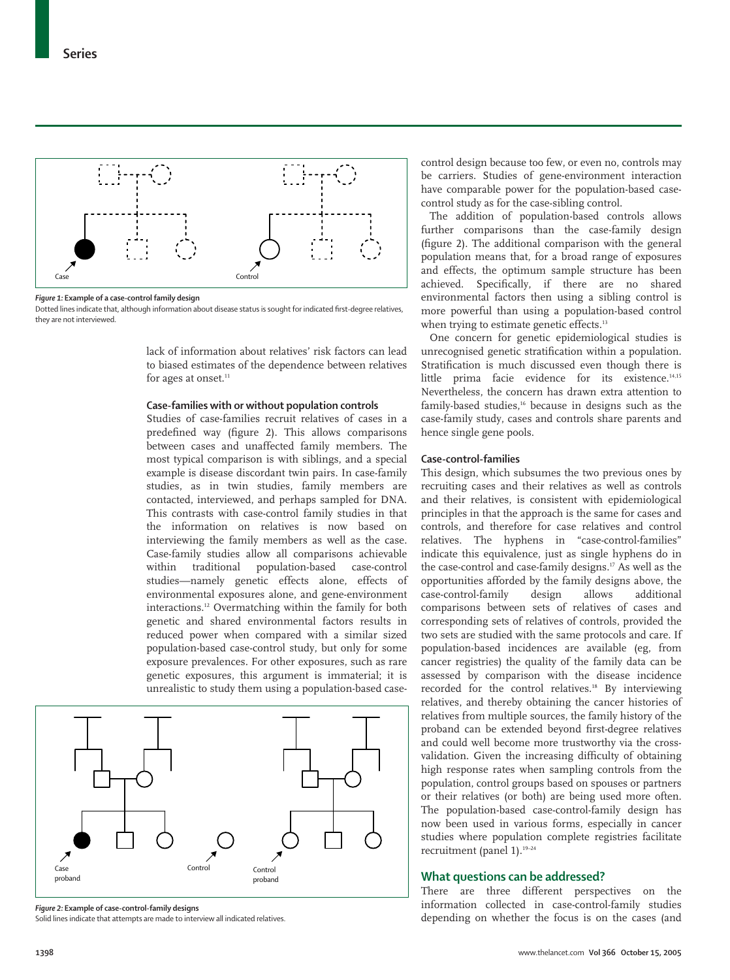

*Figure 1:* **Example of a case-control family design** 

Dotted lines indicate that, although information about disease status is sought for indicated first-degree relatives, they are not interviewed.

> lack of information about relatives' risk factors can lead to biased estimates of the dependence between relatives for ages at onset.<sup>11</sup>

## **Case-families with or without population controls**

Studies of case-families recruit relatives of cases in a predefined way (figure 2). This allows comparisons between cases and unaffected family members. The most typical comparison is with siblings, and a special example is disease discordant twin pairs. In case-family studies, as in twin studies, family members are contacted, interviewed, and perhaps sampled for DNA. This contrasts with case-control family studies in that the information on relatives is now based on interviewing the family members as well as the case. Case-family studies allow all comparisons achievable within traditional population-based case-control studies—namely genetic effects alone, effects of environmental exposures alone, and gene-environment interactions.12 Overmatching within the family for both genetic and shared environmental factors results in reduced power when compared with a similar sized population-based case-control study, but only for some exposure prevalences. For other exposures, such as rare genetic exposures, this argument is immaterial; it is unrealistic to study them using a population-based case-



*Figure 2:* **Example of case-control-family designs** 

Solid lines indicate that attempts are made to interview all indicated relatives.

control design because too few, or even no, controls may be carriers. Studies of gene-environment interaction have comparable power for the population-based casecontrol study as for the case-sibling control.

The addition of population-based controls allows further comparisons than the case-family design (figure 2). The additional comparison with the general population means that, for a broad range of exposures and effects, the optimum sample structure has been achieved. Specifically, if there are no shared environmental factors then using a sibling control is more powerful than using a population-based control when trying to estimate genetic effects.<sup>13</sup>

One concern for genetic epidemiological studies is unrecognised genetic stratification within a population. Stratification is much discussed even though there is little prima facie evidence for its existence.<sup>14,15</sup> Nevertheless, the concern has drawn extra attention to family-based studies,<sup>16</sup> because in designs such as the case-family study, cases and controls share parents and hence single gene pools.

#### **Case-control-families**

This design, which subsumes the two previous ones by recruiting cases and their relatives as well as controls and their relatives, is consistent with epidemiological principles in that the approach is the same for cases and controls, and therefore for case relatives and control relatives. The hyphens in "case-control-families" indicate this equivalence, just as single hyphens do in the case-control and case-family designs.17 As well as the opportunities afforded by the family designs above, the case-control-family design allows additional comparisons between sets of relatives of cases and corresponding sets of relatives of controls, provided the two sets are studied with the same protocols and care. If population-based incidences are available (eg, from cancer registries) the quality of the family data can be assessed by comparison with the disease incidence recorded for the control relatives.<sup>18</sup> By interviewing relatives, and thereby obtaining the cancer histories of relatives from multiple sources, the family history of the proband can be extended beyond first-degree relatives and could well become more trustworthy via the crossvalidation. Given the increasing difficulty of obtaining high response rates when sampling controls from the population, control groups based on spouses or partners or their relatives (or both) are being used more often. The population-based case-control-family design has now been used in various forms, especially in cancer studies where population complete registries facilitate recruitment (panel 1).19–24

### **What questions can be addressed?**

There are three different perspectives on the information collected in case-control-family studies depending on whether the focus is on the cases (and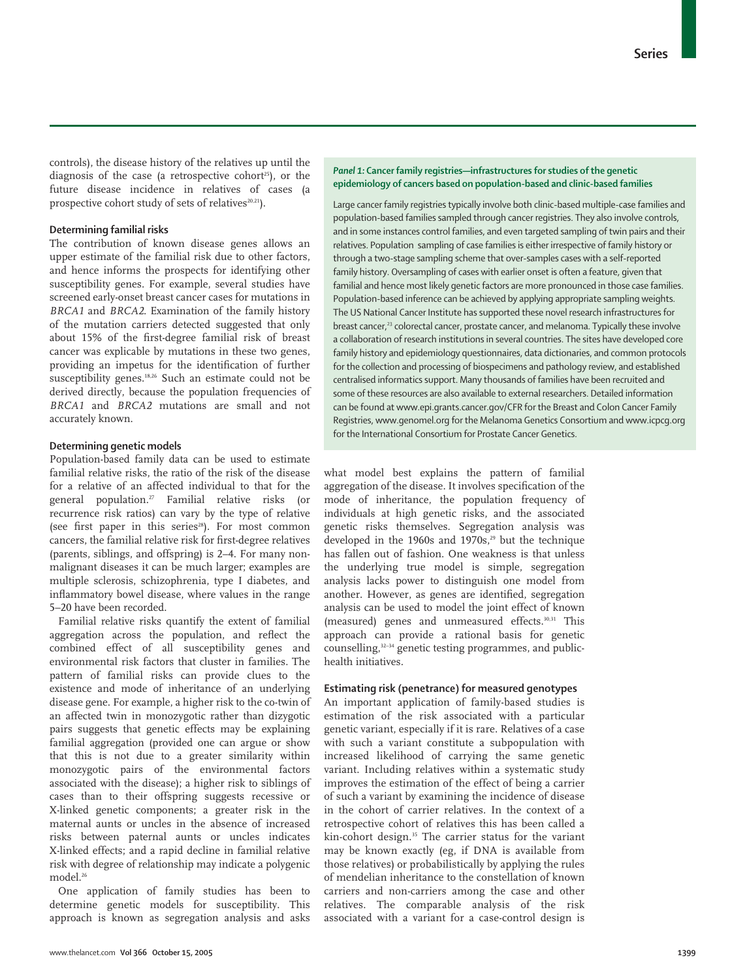controls), the disease history of the relatives up until the diagnosis of the case (a retrospective cohort<sup>25</sup>), or the future disease incidence in relatives of cases (a prospective cohort study of sets of relatives<sup>20,21</sup>).

## **Determining familial risks**

The contribution of known disease genes allows an upper estimate of the familial risk due to other factors, and hence informs the prospects for identifying other susceptibility genes. For example, several studies have screened early-onset breast cancer cases for mutations in *BRCA1* and *BRCA2*. Examination of the family history of the mutation carriers detected suggested that only about 15% of the first-degree familial risk of breast cancer was explicable by mutations in these two genes, providing an impetus for the identification of further susceptibility genes.<sup>18,26</sup> Such an estimate could not be derived directly, because the population frequencies of *BRCA1* and *BRCA2* mutations are small and not accurately known.

#### **Determining genetic models**

Population-based family data can be used to estimate familial relative risks, the ratio of the risk of the disease for a relative of an affected individual to that for the general population.27 Familial relative risks (or recurrence risk ratios) can vary by the type of relative (see first paper in this series $28$ ). For most common cancers, the familial relative risk for first-degree relatives (parents, siblings, and offspring) is 2–4. For many nonmalignant diseases it can be much larger; examples are multiple sclerosis, schizophrenia, type I diabetes, and inflammatory bowel disease, where values in the range 5–20 have been recorded.

Familial relative risks quantify the extent of familial aggregation across the population, and reflect the combined effect of all susceptibility genes and environmental risk factors that cluster in families. The pattern of familial risks can provide clues to the existence and mode of inheritance of an underlying disease gene. For example, a higher risk to the co-twin of an affected twin in monozygotic rather than dizygotic pairs suggests that genetic effects may be explaining familial aggregation (provided one can argue or show that this is not due to a greater similarity within monozygotic pairs of the environmental factors associated with the disease); a higher risk to siblings of cases than to their offspring suggests recessive or X-linked genetic components; a greater risk in the maternal aunts or uncles in the absence of increased risks between paternal aunts or uncles indicates X-linked effects; and a rapid decline in familial relative risk with degree of relationship may indicate a polygenic model.26

One application of family studies has been to determine genetic models for susceptibility. This approach is known as segregation analysis and asks

## *Panel 1:* **Cancer family registries—infrastructures for studies of the genetic epidemiology of cancers based on population-based and clinic-based families**

Large cancer family registries typically involve both clinic-based multiple-case families and population-based families sampled through cancer registries. They also involve controls, and in some instances control families, and even targeted sampling of twin pairs and their relatives. Population sampling of case families is either irrespective of family history or through a two-stage sampling scheme that over-samples cases with a self-reported family history. Oversampling of cases with earlier onset is often a feature, given that familial and hence most likely genetic factors are more pronounced in those case families. Population-based inference can be achieved by applying appropriate sampling weights. The US National Cancer Institute has supported these novel research infrastructures for breast cancer,<sup>23</sup> colorectal cancer, prostate cancer, and melanoma. Typically these involve a collaboration of research institutions in several countries. The sites have developed core family history and epidemiology questionnaires, data dictionaries, and common protocols for the collection and processing of biospecimens and pathology review, and established centralised informatics support. Many thousands of families have been recruited and some of these resources are also available to external researchers. Detailed information can be found at www.epi.grants.cancer.gov/CFR for the Breast and Colon Cancer Family Registries, www.genomel.org for the Melanoma Genetics Consortium and www.icpcg.org for the International Consortium for Prostate Cancer Genetics.

what model best explains the pattern of familial aggregation of the disease. It involves specification of the mode of inheritance, the population frequency of individuals at high genetic risks, and the associated genetic risks themselves. Segregation analysis was developed in the 1960s and  $1970s$ ,<sup>29</sup> but the technique has fallen out of fashion. One weakness is that unless the underlying true model is simple, segregation analysis lacks power to distinguish one model from another. However, as genes are identified, segregation analysis can be used to model the joint effect of known (measured) genes and unmeasured effects.30,31 This approach can provide a rational basis for genetic counselling,<sup>32-34</sup> genetic testing programmes, and publichealth initiatives.

#### **Estimating risk (penetrance) for measured genotypes**

An important application of family-based studies is estimation of the risk associated with a particular genetic variant, especially if it is rare. Relatives of a case with such a variant constitute a subpopulation with increased likelihood of carrying the same genetic variant. Including relatives within a systematic study improves the estimation of the effect of being a carrier of such a variant by examining the incidence of disease in the cohort of carrier relatives. In the context of a retrospective cohort of relatives this has been called a kin-cohort design.<sup>35</sup> The carrier status for the variant may be known exactly (eg, if DNA is available from those relatives) or probabilistically by applying the rules of mendelian inheritance to the constellation of known carriers and non-carriers among the case and other relatives. The comparable analysis of the risk associated with a variant for a case-control design is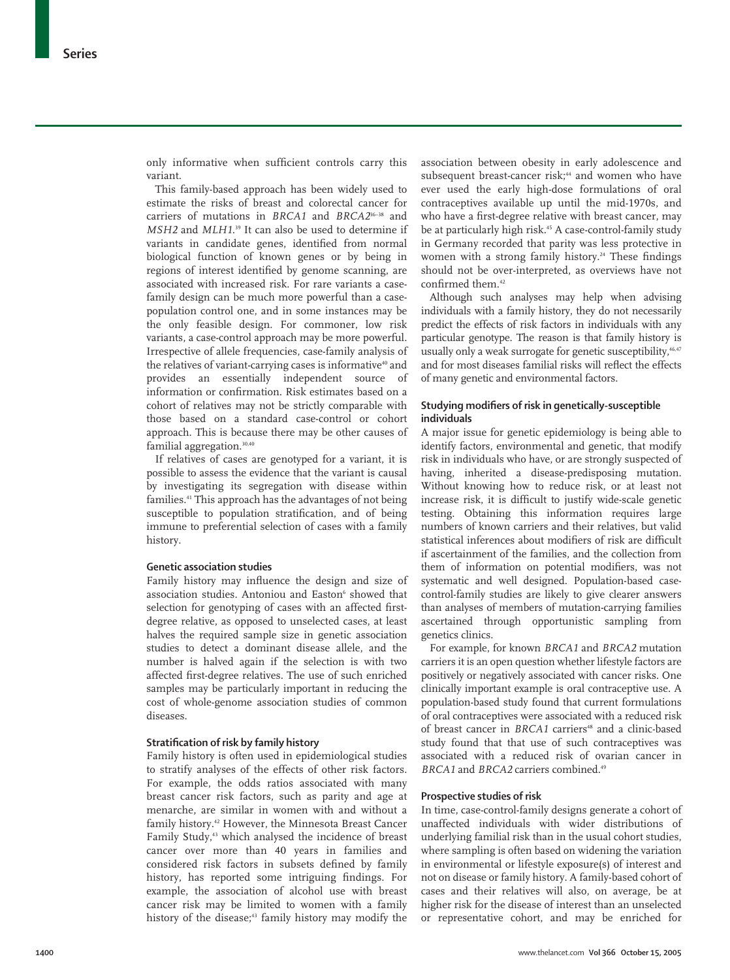only informative when sufficient controls carry this variant.

This family-based approach has been widely used to estimate the risks of breast and colorectal cancer for carriers of mutations in *BRCA1* and *BRCA2*36–38 and *MSH2* and *MLH1*. <sup>39</sup> It can also be used to determine if variants in candidate genes, identified from normal biological function of known genes or by being in regions of interest identified by genome scanning, are associated with increased risk. For rare variants a casefamily design can be much more powerful than a casepopulation control one, and in some instances may be the only feasible design. For commoner, low risk variants, a case-control approach may be more powerful. Irrespective of allele frequencies, case-family analysis of the relatives of variant-carrying cases is informative<sup>40</sup> and provides an essentially independent source of information or confirmation. Risk estimates based on a cohort of relatives may not be strictly comparable with those based on a standard case-control or cohort approach. This is because there may be other causes of familial aggregation.<sup>30,40</sup>

If relatives of cases are genotyped for a variant, it is possible to assess the evidence that the variant is causal by investigating its segregation with disease within families.41 This approach has the advantages of not being susceptible to population stratification, and of being immune to preferential selection of cases with a family history.

#### **Genetic association studies**

Family history may influence the design and size of association studies. Antoniou and Easton6 showed that selection for genotyping of cases with an affected firstdegree relative, as opposed to unselected cases, at least halves the required sample size in genetic association studies to detect a dominant disease allele, and the number is halved again if the selection is with two affected first-degree relatives. The use of such enriched samples may be particularly important in reducing the cost of whole-genome association studies of common diseases.

## **Stratification of risk by family history**

Family history is often used in epidemiological studies to stratify analyses of the effects of other risk factors. For example, the odds ratios associated with many breast cancer risk factors, such as parity and age at menarche, are similar in women with and without a family history.42 However, the Minnesota Breast Cancer Family Study,<sup>43</sup> which analysed the incidence of breast cancer over more than 40 years in families and considered risk factors in subsets defined by family history, has reported some intriguing findings. For example, the association of alcohol use with breast cancer risk may be limited to women with a family history of the disease;<sup>43</sup> family history may modify the

association between obesity in early adolescence and subsequent breast-cancer risk;<sup>44</sup> and women who have ever used the early high-dose formulations of oral contraceptives available up until the mid-1970s, and who have a first-degree relative with breast cancer, may be at particularly high risk.<sup>45</sup> A case-control-family study in Germany recorded that parity was less protective in women with a strong family history.<sup>24</sup> These findings should not be over-interpreted, as overviews have not confirmed them.<sup>42</sup>

Although such analyses may help when advising individuals with a family history, they do not necessarily predict the effects of risk factors in individuals with any particular genotype. The reason is that family history is usually only a weak surrogate for genetic susceptibility,<sup>46,47</sup> and for most diseases familial risks will reflect the effects of many genetic and environmental factors.

## **Studying modifiers of risk in genetically-susceptible individuals**

A major issue for genetic epidemiology is being able to identify factors, environmental and genetic, that modify risk in individuals who have, or are strongly suspected of having, inherited a disease-predisposing mutation. Without knowing how to reduce risk, or at least not increase risk, it is difficult to justify wide-scale genetic testing. Obtaining this information requires large numbers of known carriers and their relatives, but valid statistical inferences about modifiers of risk are difficult if ascertainment of the families, and the collection from them of information on potential modifiers, was not systematic and well designed. Population-based casecontrol-family studies are likely to give clearer answers than analyses of members of mutation-carrying families ascertained through opportunistic sampling from genetics clinics.

For example, for known *BRCA1* and *BRCA2* mutation carriers it is an open question whether lifestyle factors are positively or negatively associated with cancer risks. One clinically important example is oral contraceptive use. A population-based study found that current formulations of oral contraceptives were associated with a reduced risk of breast cancer in *BRCA1* carriers<sup>48</sup> and a clinic-based study found that that use of such contraceptives was associated with a reduced risk of ovarian cancer in *BRCA1* and *BRCA2* carriers combined.49

### **Prospective studies of risk**

In time, case-control-family designs generate a cohort of unaffected individuals with wider distributions of underlying familial risk than in the usual cohort studies, where sampling is often based on widening the variation in environmental or lifestyle exposure(s) of interest and not on disease or family history. A family-based cohort of cases and their relatives will also, on average, be at higher risk for the disease of interest than an unselected or representative cohort, and may be enriched for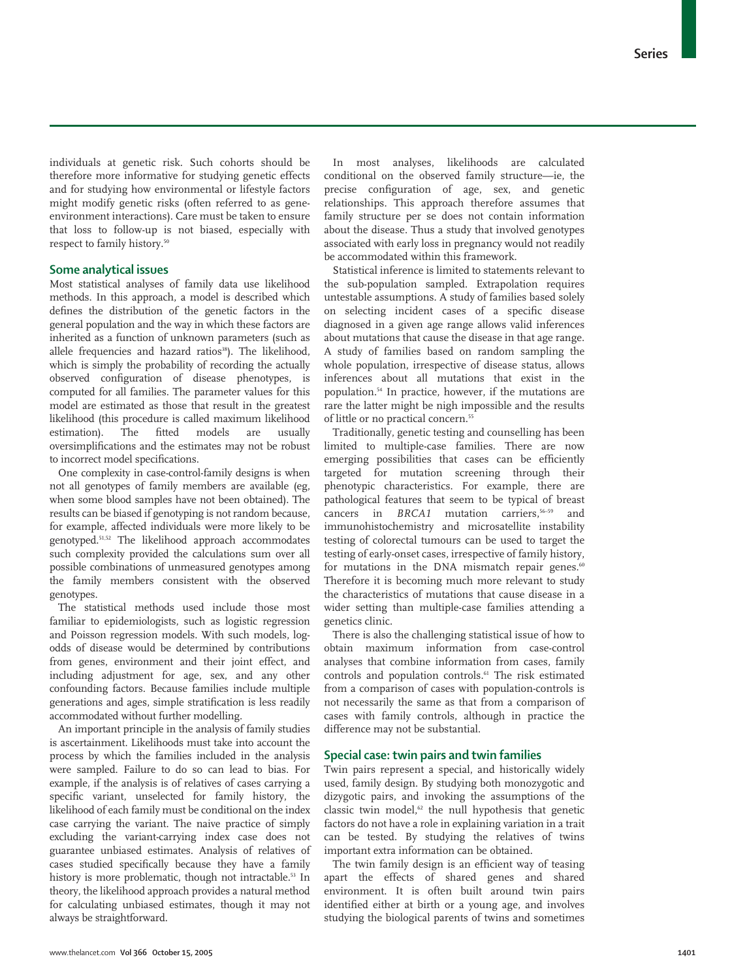individuals at genetic risk. Such cohorts should be therefore more informative for studying genetic effects and for studying how environmental or lifestyle factors might modify genetic risks (often referred to as geneenvironment interactions). Care must be taken to ensure that loss to follow-up is not biased, especially with respect to family history.<sup>50</sup>

#### **Some analytical issues**

Most statistical analyses of family data use likelihood methods. In this approach, a model is described which defines the distribution of the genetic factors in the general population and the way in which these factors are inherited as a function of unknown parameters (such as allele frequencies and hazard ratios<sup>38</sup>). The likelihood, which is simply the probability of recording the actually observed configuration of disease phenotypes, is computed for all families. The parameter values for this model are estimated as those that result in the greatest likelihood (this procedure is called maximum likelihood The fitted models are usually oversimplifications and the estimates may not be robust to incorrect model specifications.

One complexity in case-control-family designs is when not all genotypes of family members are available (eg, when some blood samples have not been obtained). The results can be biased if genotyping is not random because, for example, affected individuals were more likely to be genotyped.51,52 The likelihood approach accommodates such complexity provided the calculations sum over all possible combinations of unmeasured genotypes among the family members consistent with the observed genotypes.

The statistical methods used include those most familiar to epidemiologists, such as logistic regression and Poisson regression models. With such models, logodds of disease would be determined by contributions from genes, environment and their joint effect, and including adjustment for age, sex, and any other confounding factors. Because families include multiple generations and ages, simple stratification is less readily accommodated without further modelling.

An important principle in the analysis of family studies is ascertainment. Likelihoods must take into account the process by which the families included in the analysis were sampled. Failure to do so can lead to bias. For example, if the analysis is of relatives of cases carrying a specific variant, unselected for family history, the likelihood of each family must be conditional on the index case carrying the variant. The naive practice of simply excluding the variant-carrying index case does not guarantee unbiased estimates. Analysis of relatives of cases studied specifically because they have a family history is more problematic, though not intractable.<sup>53</sup> In theory, the likelihood approach provides a natural method for calculating unbiased estimates, though it may not always be straightforward.

In most analyses, likelihoods are calculated conditional on the observed family structure—ie, the precise configuration of age, sex, and genetic relationships. This approach therefore assumes that family structure per se does not contain information about the disease. Thus a study that involved genotypes associated with early loss in pregnancy would not readily be accommodated within this framework.

Statistical inference is limited to statements relevant to the sub-population sampled. Extrapolation requires untestable assumptions. A study of families based solely on selecting incident cases of a specific disease diagnosed in a given age range allows valid inferences about mutations that cause the disease in that age range. A study of families based on random sampling the whole population, irrespective of disease status, allows inferences about all mutations that exist in the population.54 In practice, however, if the mutations are rare the latter might be nigh impossible and the results of little or no practical concern.<sup>55</sup>

Traditionally, genetic testing and counselling has been limited to multiple-case families. There are now emerging possibilities that cases can be efficiently targeted for mutation screening through their phenotypic characteristics. For example, there are pathological features that seem to be typical of breast cancers in *BRCA1* mutation carriers,<sup>56–59</sup> and immunohistochemistry and microsatellite instability testing of colorectal tumours can be used to target the testing of early-onset cases, irrespective of family history, for mutations in the DNA mismatch repair genes. $60$ Therefore it is becoming much more relevant to study the characteristics of mutations that cause disease in a wider setting than multiple-case families attending a genetics clinic.

There is also the challenging statistical issue of how to obtain maximum information from case-control analyses that combine information from cases, family controls and population controls.<sup>61</sup> The risk estimated from a comparison of cases with population-controls is not necessarily the same as that from a comparison of cases with family controls, although in practice the difference may not be substantial.

## **Special case: twin pairs and twin families**

Twin pairs represent a special, and historically widely used, family design. By studying both monozygotic and dizygotic pairs, and invoking the assumptions of the classic twin model, $62$  the null hypothesis that genetic factors do not have a role in explaining variation in a trait can be tested. By studying the relatives of twins important extra information can be obtained.

The twin family design is an efficient way of teasing apart the effects of shared genes and shared environment. It is often built around twin pairs identified either at birth or a young age, and involves studying the biological parents of twins and sometimes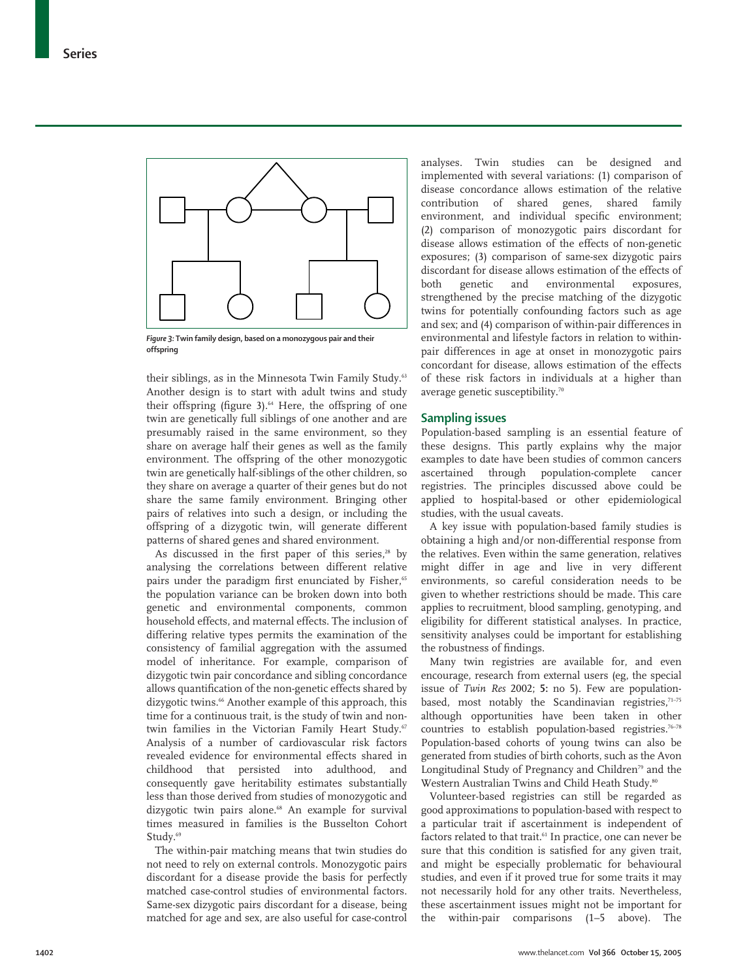

*Figure 3:* **Twin family design, based on a monozygous pair and their offspring**

their siblings, as in the Minnesota Twin Family Study.<sup>63</sup> Another design is to start with adult twins and study their offspring (figure  $3$ ).<sup>64</sup> Here, the offspring of one twin are genetically full siblings of one another and are presumably raised in the same environment, so they share on average half their genes as well as the family environment. The offspring of the other monozygotic twin are genetically half-siblings of the other children, so they share on average a quarter of their genes but do not share the same family environment. Bringing other pairs of relatives into such a design, or including the offspring of a dizygotic twin, will generate different patterns of shared genes and shared environment.

As discussed in the first paper of this series, $28$  by analysing the correlations between different relative pairs under the paradigm first enunciated by Fisher,<sup>65</sup> the population variance can be broken down into both genetic and environmental components, common household effects, and maternal effects. The inclusion of differing relative types permits the examination of the consistency of familial aggregation with the assumed model of inheritance. For example, comparison of dizygotic twin pair concordance and sibling concordance allows quantification of the non-genetic effects shared by dizygotic twins.<sup>66</sup> Another example of this approach, this time for a continuous trait, is the study of twin and nontwin families in the Victorian Family Heart Study.<sup>67</sup> Analysis of a number of cardiovascular risk factors revealed evidence for environmental effects shared in childhood that persisted into adulthood, and consequently gave heritability estimates substantially less than those derived from studies of monozygotic and dizygotic twin pairs alone.<sup>68</sup> An example for survival times measured in families is the Busselton Cohort Study.<sup>69</sup>

The within-pair matching means that twin studies do not need to rely on external controls. Monozygotic pairs discordant for a disease provide the basis for perfectly matched case-control studies of environmental factors. Same-sex dizygotic pairs discordant for a disease, being matched for age and sex, are also useful for case-control

analyses. Twin studies can be designed and implemented with several variations: (1) comparison of disease concordance allows estimation of the relative contribution of shared genes, shared family environment, and individual specific environment; (2) comparison of monozygotic pairs discordant for disease allows estimation of the effects of non-genetic exposures; (3) comparison of same-sex dizygotic pairs discordant for disease allows estimation of the effects of both genetic and environmental exposures, strengthened by the precise matching of the dizygotic twins for potentially confounding factors such as age and sex; and (4) comparison of within-pair differences in environmental and lifestyle factors in relation to withinpair differences in age at onset in monozygotic pairs concordant for disease, allows estimation of the effects of these risk factors in individuals at a higher than average genetic susceptibility.70

#### **Sampling issues**

Population-based sampling is an essential feature of these designs. This partly explains why the major examples to date have been studies of common cancers ascertained through population-complete cancer registries. The principles discussed above could be applied to hospital-based or other epidemiological studies, with the usual caveats.

A key issue with population-based family studies is obtaining a high and/or non-differential response from the relatives. Even within the same generation, relatives might differ in age and live in very different environments, so careful consideration needs to be given to whether restrictions should be made. This care applies to recruitment, blood sampling, genotyping, and eligibility for different statistical analyses. In practice, sensitivity analyses could be important for establishing the robustness of findings.

Many twin registries are available for, and even encourage, research from external users (eg, the special issue of *Twin Res* 2002; **5:** no 5). Few are populationbased, most notably the Scandinavian registries, $71-75$ although opportunities have been taken in other countries to establish population-based registries.<sup>76–78</sup> Population-based cohorts of young twins can also be generated from studies of birth cohorts, such as the Avon Longitudinal Study of Pregnancy and Children<sup>79</sup> and the Western Australian Twins and Child Heath Study.80

Volunteer-based registries can still be regarded as good approximations to population-based with respect to a particular trait if ascertainment is independent of factors related to that trait.<sup>61</sup> In practice, one can never be sure that this condition is satisfied for any given trait, and might be especially problematic for behavioural studies, and even if it proved true for some traits it may not necessarily hold for any other traits. Nevertheless, these ascertainment issues might not be important for the within-pair comparisons (1–5 above). The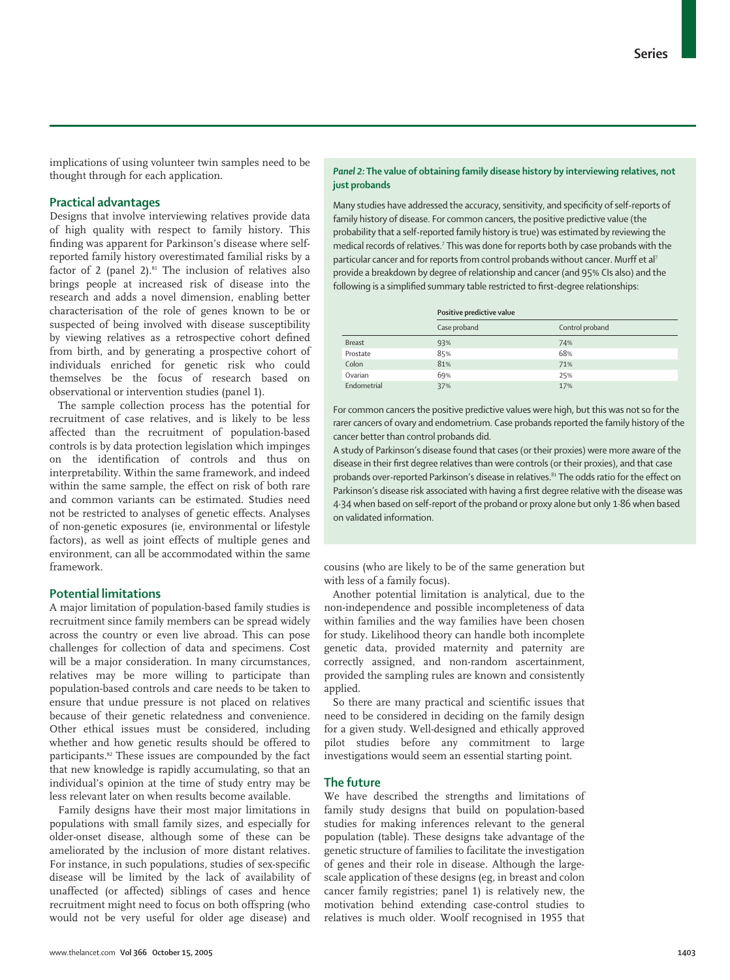implications of using volunteer twin samples need to be thought through for each application.

## **Practical advantages**

Designs that involve interviewing relatives provide data of high quality with respect to family history. This finding was apparent for Parkinson's disease where selfreported family history overestimated familial risks by a factor of 2 (panel 2). $81$  The inclusion of relatives also brings people at increased risk of disease into the research and adds a novel dimension, enabling better characterisation of the role of genes known to be or suspected of being involved with disease susceptibility by viewing relatives as a retrospective cohort defined from birth, and by generating a prospective cohort of individuals enriched for genetic risk who could themselves be the focus of research based on observational or intervention studies (panel 1).

The sample collection process has the potential for recruitment of case relatives, and is likely to be less affected than the recruitment of population-based controls is by data protection legislation which impinges on the identification of controls and thus on interpretability. Within the same framework, and indeed within the same sample, the effect on risk of both rare and common variants can be estimated. Studies need not be restricted to analyses of genetic effects. Analyses of non-genetic exposures (ie, environmental or lifestyle factors), as well as joint effects of multiple genes and environment, can all be accommodated within the same framework.

## **Potential limitations**

A major limitation of population-based family studies is recruitment since family members can be spread widely across the country or even live abroad. This can pose challenges for collection of data and specimens. Cost will be a major consideration. In many circumstances, relatives may be more willing to participate than population-based controls and care needs to be taken to ensure that undue pressure is not placed on relatives because of their genetic relatedness and convenience. Other ethical issues must be considered, including whether and how genetic results should be offered to participants.82 These issues are compounded by the fact that new knowledge is rapidly accumulating, so that an individual's opinion at the time of study entry may be less relevant later on when results become available.

Family designs have their most major limitations in populations with small family sizes, and especially for older-onset disease, although some of these can be ameliorated by the inclusion of more distant relatives. For instance, in such populations, studies of sex-specific disease will be limited by the lack of availability of unaffected (or affected) siblings of cases and hence recruitment might need to focus on both offspring (who would not be very useful for older age disease) and

#### *Panel 2:* **The value of obtaining family disease history by interviewing relatives, not just probands**

Many studies have addressed the accuracy, sensitivity, and specificity of self-reports of family history of disease. For common cancers, the positive predictive value (the probability that a self-reported family history is true) was estimated by reviewing the medical records of relatives.7 This was done for reports both by case probands with the particular cancer and for reports from control probands without cancer. Murff et al<sup>7</sup> provide a breakdown by degree of relationship and cancer (and 95% CIs also) and the following is a simplified summary table restricted to first-degree relationships:

|               | Positive predictive value |                 |  |
|---------------|---------------------------|-----------------|--|
|               | Case proband              | Control proband |  |
| <b>Breast</b> | 93%                       | 74%             |  |
| Prostate      | 85%                       | 68%             |  |
| Colon         | 81%                       | 71%             |  |
| Ovarian       | 69%                       | 25%             |  |
| Endometrial   | 37%                       | 17%             |  |

For common cancers the positive predictive values were high, but this was not so for the rarer cancers of ovary and endometrium. Case probands reported the family history of the cancer better than control probands did.

A study of Parkinson's disease found that cases (or their proxies) were more aware of the disease in their first degree relatives than were controls (or their proxies), and that case probands over-reported Parkinson's disease in relatives.<sup>81</sup> The odds ratio for the effect on Parkinson's disease risk associated with having a first degree relative with the disease was 4·34 when based on self-report of the proband or proxy alone but only 1·86 when based on validated information.

cousins (who are likely to be of the same generation but with less of a family focus).

Another potential limitation is analytical, due to the non-independence and possible incompleteness of data within families and the way families have been chosen for study. Likelihood theory can handle both incomplete genetic data, provided maternity and paternity are correctly assigned, and non-random ascertainment, provided the sampling rules are known and consistently applied.

So there are many practical and scientific issues that need to be considered in deciding on the family design for a given study. Well-designed and ethically approved pilot studies before any commitment to large investigations would seem an essential starting point.

#### **The future**

We have described the strengths and limitations of family study designs that build on population-based studies for making inferences relevant to the general population (table). These designs take advantage of the genetic structure of families to facilitate the investigation of genes and their role in disease. Although the largescale application of these designs (eg, in breast and colon cancer family registries; panel 1) is relatively new, the motivation behind extending case-control studies to relatives is much older. Woolf recognised in 1955 that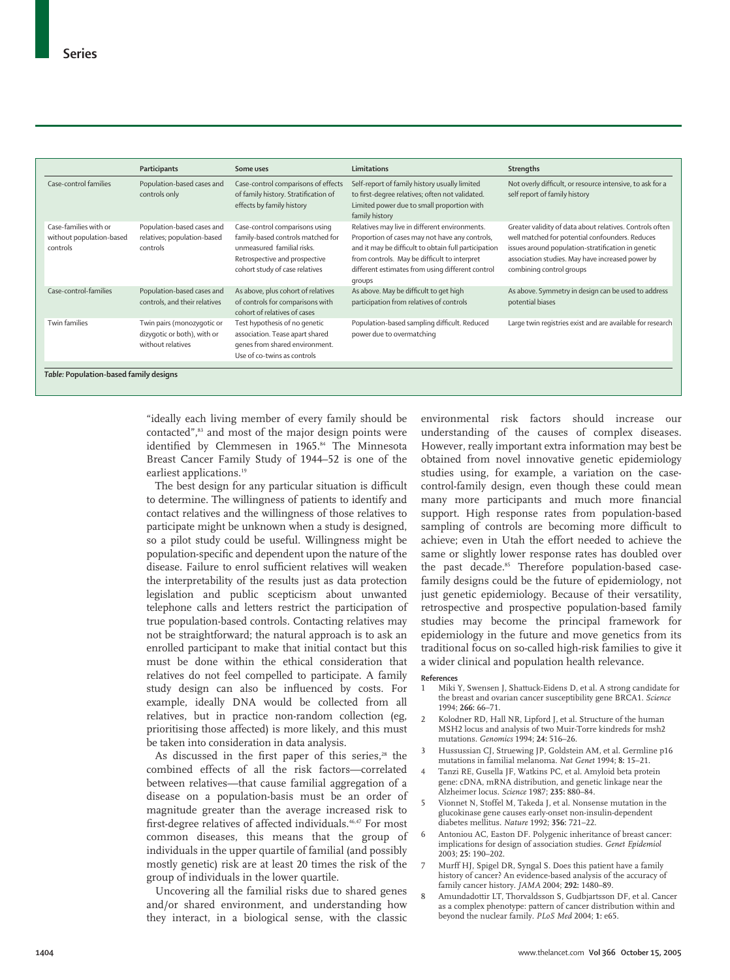|                          | Participants                                                | Some uses                                                                                                | <b>Limitations</b>                                                                                                                                               | Strengths                                                                                  |
|--------------------------|-------------------------------------------------------------|----------------------------------------------------------------------------------------------------------|------------------------------------------------------------------------------------------------------------------------------------------------------------------|--------------------------------------------------------------------------------------------|
| Case-control families    | Population-based cases and<br>controls only                 | Case-control comparisons of effects<br>of family history. Stratification of<br>effects by family history | Self-report of family history usually limited<br>to first-degree relatives; often not validated.<br>Limited power due to small proportion with<br>family history | Not overly difficult, or resource intensive, to ask for a<br>self report of family history |
| Case-families with or    | Population-based cases and                                  | Case-control comparisons using                                                                           | Relatives may live in different environments.                                                                                                                    | Greater validity of data about relatives. Controls often                                   |
| without population-based | relatives; population-based                                 | family-based controls matched for                                                                        | Proportion of cases may not have any controls,                                                                                                                   | well matched for potential confounders. Reduces                                            |
| controls                 | controls                                                    | unmeasured familial risks.                                                                               | and it may be difficult to obtain full participation                                                                                                             | issues around population-stratification in genetic                                         |
|                          |                                                             | Retrospective and prospective                                                                            | from controls. May be difficult to interpret                                                                                                                     | association studies. May have increased power by                                           |
|                          |                                                             | cohort study of case relatives                                                                           | different estimates from using different control                                                                                                                 | combining control groups                                                                   |
|                          |                                                             |                                                                                                          | groups                                                                                                                                                           |                                                                                            |
| Case-control-families    | Population-based cases and<br>controls, and their relatives | As above, plus cohort of relatives<br>of controls for comparisons with<br>cohort of relatives of cases   | As above. May be difficult to get high<br>participation from relatives of controls                                                                               | As above. Symmetry in design can be used to address<br>potential biases                    |
| Twin families            | Twin pairs (monozygotic or                                  | Test hypothesis of no genetic                                                                            | Population-based sampling difficult. Reduced                                                                                                                     | Large twin registries exist and are available for research                                 |
|                          | dizyqotic or both), with or                                 | association. Tease apart shared                                                                          | power due to overmatching                                                                                                                                        |                                                                                            |
|                          | without relatives                                           | genes from shared environment.                                                                           |                                                                                                                                                                  |                                                                                            |
|                          |                                                             | Use of co-twins as controls                                                                              |                                                                                                                                                                  |                                                                                            |

"ideally each living member of every family should be contacted",<sup>83</sup> and most of the major design points were identified by Clemmesen in 1965.<sup>84</sup> The Minnesota Breast Cancer Family Study of 1944–52 is one of the earliest applications.<sup>19</sup>

The best design for any particular situation is difficult to determine. The willingness of patients to identify and contact relatives and the willingness of those relatives to participate might be unknown when a study is designed, so a pilot study could be useful. Willingness might be population-specific and dependent upon the nature of the disease. Failure to enrol sufficient relatives will weaken the interpretability of the results just as data protection legislation and public scepticism about unwanted telephone calls and letters restrict the participation of true population-based controls. Contacting relatives may not be straightforward; the natural approach is to ask an enrolled participant to make that initial contact but this must be done within the ethical consideration that relatives do not feel compelled to participate. A family study design can also be influenced by costs. For example, ideally DNA would be collected from all relatives, but in practice non-random collection (eg, prioritising those affected) is more likely, and this must be taken into consideration in data analysis.

As discussed in the first paper of this series, $28$  the combined effects of all the risk factors—correlated between relatives—that cause familial aggregation of a disease on a population-basis must be an order of magnitude greater than the average increased risk to first-degree relatives of affected individuals.<sup>46,47</sup> For most common diseases, this means that the group of individuals in the upper quartile of familial (and possibly mostly genetic) risk are at least 20 times the risk of the group of individuals in the lower quartile.

Uncovering all the familial risks due to shared genes and/or shared environment, and understanding how they interact, in a biological sense, with the classic environmental risk factors should increase our understanding of the causes of complex diseases. However, really important extra information may best be obtained from novel innovative genetic epidemiology studies using, for example, a variation on the casecontrol-family design, even though these could mean many more participants and much more financial support. High response rates from population-based sampling of controls are becoming more difficult to achieve; even in Utah the effort needed to achieve the same or slightly lower response rates has doubled over the past decade.<sup>85</sup> Therefore population-based casefamily designs could be the future of epidemiology, not just genetic epidemiology. Because of their versatility, retrospective and prospective population-based family studies may become the principal framework for epidemiology in the future and move genetics from its traditional focus on so-called high-risk families to give it a wider clinical and population health relevance.

#### **References**

- 1 Miki Y, Swensen J, Shattuck-Eidens D, et al. A strong candidate for the breast and ovarian cancer susceptibility gene BRCA1. *Science* 1994; **266:** 66–71.
- 2 Kolodner RD, Hall NR, Lipford J, et al. Structure of the human MSH2 locus and analysis of two Muir-Torre kindreds for msh2 mutations. *Genomics* 1994; **24:** 516–26.
- 3 Hussussian CJ, Struewing JP, Goldstein AM, et al. Germline p16 mutations in familial melanoma. *Nat Genet* 1994; **8:** 15–21.
- 4 Tanzi RE, Gusella JF, Watkins PC, et al. Amyloid beta protein gene: cDNA, mRNA distribution, and genetic linkage near the Alzheimer locus. *Science* 1987; **235:** 880–84.
- 5 Vionnet N, Stoffel M, Takeda J, et al. Nonsense mutation in the glucokinase gene causes early-onset non-insulin-dependent diabetes mellitus. *Nature* 1992; **356:** 721–22.
- 6 Antoniou AC, Easton DF. Polygenic inheritance of breast cancer: implications for design of association studies. *Genet Epidemiol* 2003; **25:** 190–202.
- Murff HJ, Spigel DR, Syngal S. Does this patient have a family history of cancer? An evidence-based analysis of the accuracy of family cancer history. *JAMA* 2004; **292:** 1480–89.
- 8 Amundadottir LT, Thorvaldsson S, Gudbjartsson DF, et al. Cancer as a complex phenotype: pattern of cancer distribution within and beyond the nuclear family. *PLoS Med* 2004; **1:** e65.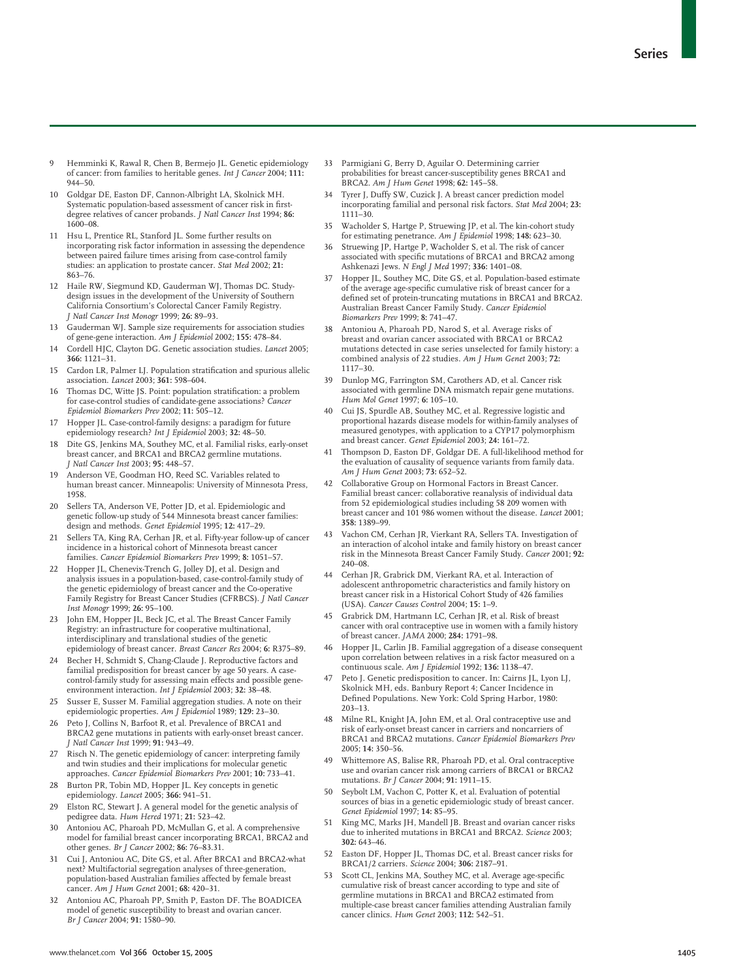- 9 Hemminki K, Rawal R, Chen B, Bermejo JL. Genetic epidemiology of cancer: from families to heritable genes. *Int J Cancer* 2004; **111:** 944–50.
- 10 Goldgar DE, Easton DF, Cannon-Albright LA, Skolnick MH. Systematic population-based assessment of cancer risk in firstdegree relatives of cancer probands. *J Natl Cancer Inst* 1994; **86:** 1600–08.
- 11 Hsu L, Prentice RL, Stanford JL. Some further results on incorporating risk factor information in assessing the dependence between paired failure times arising from case-control family studies: an application to prostate cancer. *Stat Med* 2002; **21:** 863–76.
- 12 Haile RW, Siegmund KD, Gauderman WJ, Thomas DC. Studydesign issues in the development of the University of Southern California Consortium's Colorectal Cancer Family Registry. *J Natl Cancer Inst Monogr* 1999; **26:** 89–93.
- 13 Gauderman WJ. Sample size requirements for association studies of gene-gene interaction. *Am J Epidemiol* 2002; **155:** 478–84.
- 14 Cordell HJC, Clayton DG. Genetic association studies. *Lancet* 2005; **366:** 1121–31.
- 15 Cardon LR, Palmer LJ. Population stratification and spurious allelic association. *Lancet* 2003; **361:** 598–604.
- 16 Thomas DC, Witte JS. Point: population stratification: a problem for case-control studies of candidate-gene associations? *Cancer Epidemiol Biomarkers Prev* 2002; **11:** 505–12.
- 17 Hopper JL. Case-control-family designs: a paradigm for future epidemiology research? *Int J Epidemiol* 2003; **32:** 48–50.
- 18 Dite GS, Jenkins MA, Southey MC, et al. Familial risks, early-onset breast cancer, and BRCA1 and BRCA2 germline mutations. *J Natl Cancer Inst* 2003; **95:** 448–57.
- 19 Anderson VE, Goodman HO, Reed SC. Variables related to human breast cancer. Minneapolis: University of Minnesota Press, 1958.
- 20 Sellers TA, Anderson VE, Potter JD, et al. Epidemiologic and genetic follow-up study of 544 Minnesota breast cancer families: design and methods. *Genet Epidemiol* 1995; **12:** 417–29.
- 21 Sellers TA, King RA, Cerhan JR, et al. Fifty-year follow-up of cancer incidence in a historical cohort of Minnesota breast cancer families. *Cancer Epidemiol Biomarkers Prev* 1999; **8:** 1051–57.
- 22 Hopper JL, Chenevix-Trench G, Jolley DJ, et al. Design and analysis issues in a population-based, case-control-family study of the genetic epidemiology of breast cancer and the Co-operative Family Registry for Breast Cancer Studies (CFRBCS). *J Natl Cancer Inst Monogr* 1999; **26:** 95–100.
- 23 John EM, Hopper JL, Beck JC, et al. The Breast Cancer Family Registry: an infrastructure for cooperative multinational, interdisciplinary and translational studies of the genetic epidemiology of breast cancer. *Breast Cancer Res* 2004; **6:** R375–89.
- Becher H, Schmidt S, Chang-Claude J. Reproductive factors and familial predisposition for breast cancer by age 50 years. A casecontrol-family study for assessing main effects and possible geneenvironment interaction. *Int J Epidemiol* 2003; **32:** 38–48.
- 25 Susser E, Susser M. Familial aggregation studies. A note on their epidemiologic properties. *Am J Epidemiol* 1989; **129:** 23–30.
- 26 Peto J, Collins N, Barfoot R, et al. Prevalence of BRCA1 and BRCA2 gene mutations in patients with early-onset breast cancer. *J Natl Cancer Inst* 1999; **91:** 943–49.
- 27 Risch N. The genetic epidemiology of cancer: interpreting family and twin studies and their implications for molecular genetic approaches. *Cancer Epidemiol Biomarkers Prev* 2001; **10:** 733–41.
- 28 Burton PR, Tobin MD, Hopper JL. Key concepts in genetic epidemiology. *Lancet* 2005; **366:** 941–51.
- 29 Elston RC, Stewart J. A general model for the genetic analysis of pedigree data. *Hum Hered* 1971; **21:** 523–42.
- 30 Antoniou AC, Pharoah PD, McMullan G, et al. A comprehensive model for familial breast cancer incorporating BRCA1, BRCA2 and other genes. *Br J Cancer* 2002; **86:** 76–83.31.
- 31 Cui J, Antoniou AC, Dite GS, et al. After BRCA1 and BRCA2-what next? Multifactorial segregation analyses of three-generation, population-based Australian families affected by female breast cancer. *Am J Hum Genet* 2001; **68:** 420–31.
- 32 Antoniou AC, Pharoah PP, Smith P, Easton DF. The BOADICEA model of genetic susceptibility to breast and ovarian cancer. *Br J Cancer* 2004; **91:** 1580–90.
- 33 Parmigiani G, Berry D, Aguilar O. Determining carrier probabilities for breast cancer-susceptibility genes BRCA1 and BRCA2. *Am J Hum Genet* 1998; **62:** 145–58.
- Tyrer J, Duffy SW, Cuzick J. A breast cancer prediction model incorporating familial and personal risk factors. *Stat Med* 2004; **23:** 1111–30.
- 35 Wacholder S, Hartge P, Struewing JP, et al. The kin-cohort study for estimating penetrance. *Am J Epidemiol* 1998; **148:** 623–30.
- 36 Struewing JP, Hartge P, Wacholder S, et al. The risk of cancer associated with specific mutations of BRCA1 and BRCA2 among Ashkenazi Jews. *N Engl J Med* 1997; **336:** 1401–08.
- 37 Hopper JL, Southey MC, Dite GS, et al. Population-based estimate of the average age-specific cumulative risk of breast cancer for a defined set of protein-truncating mutations in BRCA1 and BRCA2. Australian Breast Cancer Family Study. *Cancer Epidemiol Biomarkers Prev* 1999; **8:** 741–47.
- 38 Antoniou A, Pharoah PD, Narod S, et al. Average risks of breast and ovarian cancer associated with BRCA1 or BRCA2 mutations detected in case series unselected for family history: a combined analysis of 22 studies. *Am J Hum Genet* 2003; **72:** 1117–30.
- 39 Dunlop MG, Farrington SM, Carothers AD, et al. Cancer risk associated with germline DNA mismatch repair gene mutations. *Hum Mol Genet* 1997; **6:** 105–10.
- 40 Cui JS, Spurdle AB, Southey MC, et al. Regressive logistic and proportional hazards disease models for within-family analyses of measured genotypes, with application to a CYP17 polymorphism and breast cancer. *Genet Epidemiol* 2003; **24:** 161–72.
- 41 Thompson D, Easton DF, Goldgar DE. A full-likelihood method for the evaluation of causality of sequence variants from family data. *Am J Hum Genet* 2003; **73:** 652–52.
- 42 Collaborative Group on Hormonal Factors in Breast Cancer. Familial breast cancer: collaborative reanalysis of individual data from 52 epidemiological studies including 58 209 women with breast cancer and 101 986 women without the disease. *Lancet* 2001; **358:** 1389–99.
- 43 Vachon CM, Cerhan JR, Vierkant RA, Sellers TA. Investigation of an interaction of alcohol intake and family history on breast cancer risk in the Minnesota Breast Cancer Family Study. *Cancer* 2001; **92:** 240–08.
- 44 Cerhan JR, Grabrick DM, Vierkant RA, et al. Interaction of adolescent anthropometric characteristics and family history on breast cancer risk in a Historical Cohort Study of 426 families (USA). *Cancer Causes Control* 2004; **15:** 1–9.
- 45 Grabrick DM, Hartmann LC, Cerhan JR, et al. Risk of breast cancer with oral contraceptive use in women with a family history of breast cancer. *JAMA* 2000; **284:** 1791–98.
- 46 Hopper JL, Carlin JB. Familial aggregation of a disease consequent upon correlation between relatives in a risk factor measured on a continuous scale. *Am J Epidemiol* 1992; **136:** 1138–47.
- 47 Peto J. Genetic predisposition to cancer. In: Cairns JL, Lyon LJ, Skolnick MH, eds. Banbury Report 4; Cancer Incidence in Defined Populations. New York: Cold Spring Harbor, 1980: 203–13.
- 48 Milne RL, Knight JA, John EM, et al. Oral contraceptive use and risk of early-onset breast cancer in carriers and noncarriers of BRCA1 and BRCA2 mutations. *Cancer Epidemiol Biomarkers Prev* 2005; **14:** 350–56.
- 49 Whittemore AS, Balise RR, Pharoah PD, et al. Oral contraceptive use and ovarian cancer risk among carriers of BRCA1 or BRCA2 mutations. *Br J Cancer* 2004; **91:** 1911–15.
- 50 Seybolt LM, Vachon C, Potter K, et al. Evaluation of potential sources of bias in a genetic epidemiologic study of breast cancer. *Genet Epidemiol* 1997; **14:** 85–95.
- King MC, Marks JH, Mandell JB. Breast and ovarian cancer risks due to inherited mutations in BRCA1 and BRCA2. *Science* 2003; **302:** 643–46.
- 52 Easton DF, Hopper JL, Thomas DC, et al. Breast cancer risks for BRCA1/2 carriers. *Science* 2004; **306:** 2187–91.
- Scott CL, Jenkins MA, Southey MC, et al. Average age-specific cumulative risk of breast cancer according to type and site of germline mutations in BRCA1 and BRCA2 estimated from multiple-case breast cancer families attending Australian family cancer clinics. *Hum Genet* 2003; **112:** 542–51.